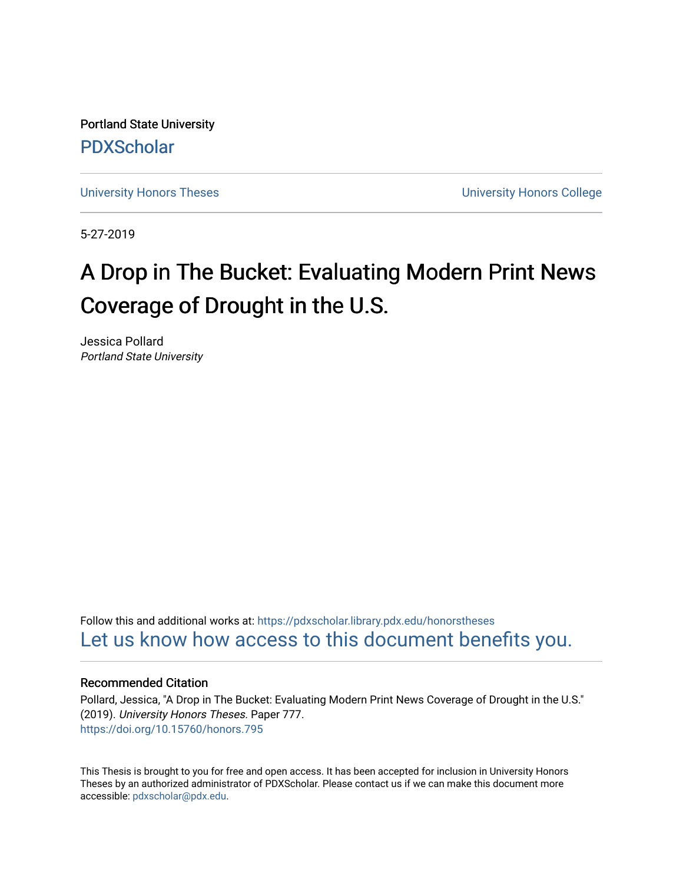Portland State University [PDXScholar](https://pdxscholar.library.pdx.edu/)

[University Honors Theses](https://pdxscholar.library.pdx.edu/honorstheses) [University Honors College](https://pdxscholar.library.pdx.edu/honors) 

5-27-2019

# A Drop in The Bucket: Evaluating Modern Print News Coverage of Drought in the U.S.

Jessica Pollard Portland State University

Follow this and additional works at: [https://pdxscholar.library.pdx.edu/honorstheses](https://pdxscholar.library.pdx.edu/honorstheses?utm_source=pdxscholar.library.pdx.edu%2Fhonorstheses%2F777&utm_medium=PDF&utm_campaign=PDFCoverPages)  [Let us know how access to this document benefits you.](http://library.pdx.edu/services/pdxscholar-services/pdxscholar-feedback/) 

#### Recommended Citation

Pollard, Jessica, "A Drop in The Bucket: Evaluating Modern Print News Coverage of Drought in the U.S." (2019). University Honors Theses. Paper 777. <https://doi.org/10.15760/honors.795>

This Thesis is brought to you for free and open access. It has been accepted for inclusion in University Honors Theses by an authorized administrator of PDXScholar. Please contact us if we can make this document more accessible: [pdxscholar@pdx.edu.](mailto:pdxscholar@pdx.edu)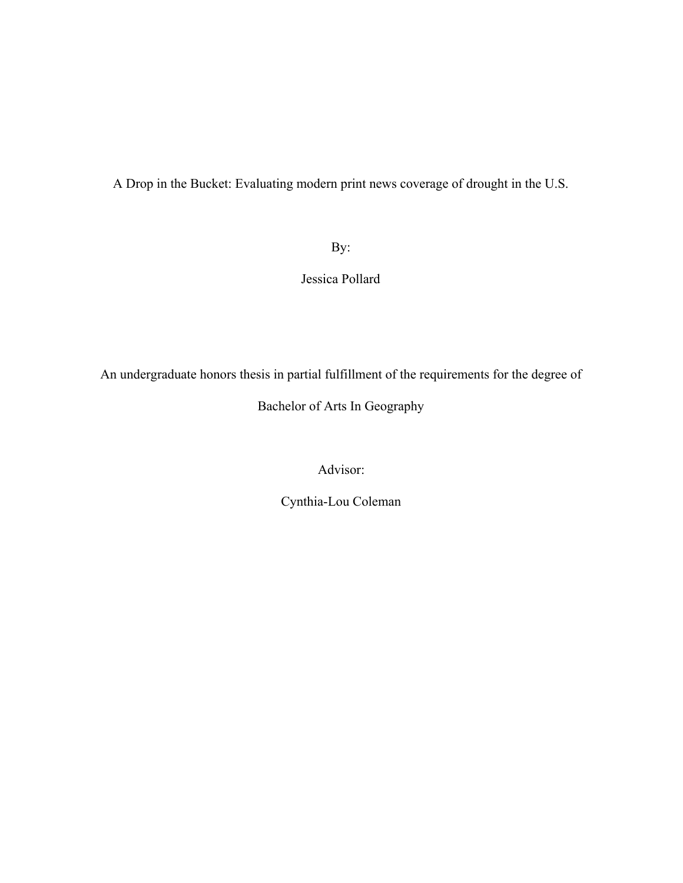A Drop in the Bucket: Evaluating modern print news coverage of drought in the U.S.

# By:

# Jessica Pollard

An undergraduate honors thesis in partial fulfillment of the requirements for the degree of

# Bachelor of Arts In Geography

Advisor:

Cynthia-Lou Coleman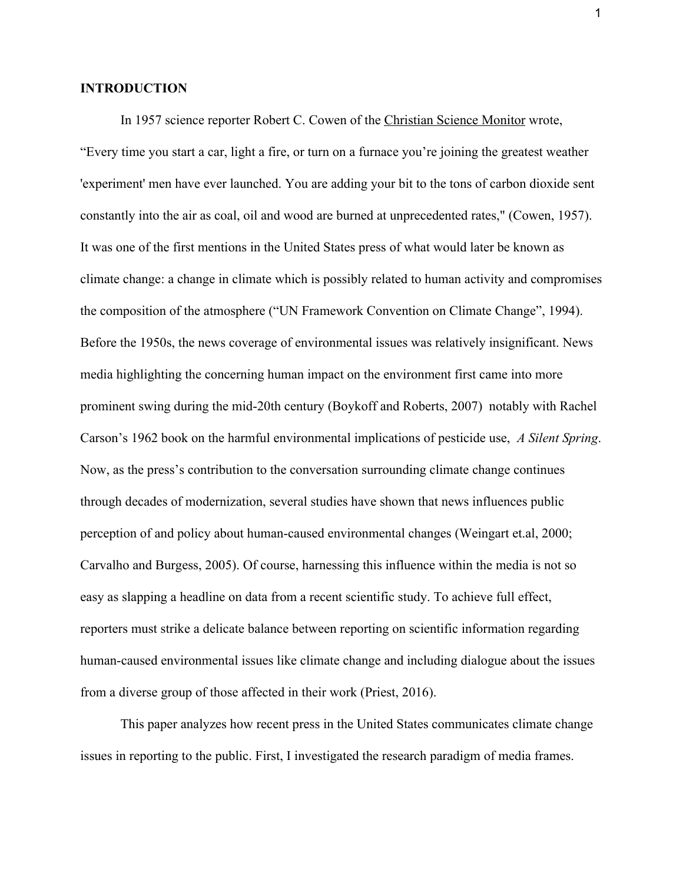## **INTRODUCTION**

In 1957 science reporter Robert C. Cowen of the Christian Science Monitor wrote, "Every time you start a car, light a fire, or turn on a furnace you're joining the greatest weather 'experiment' men have ever launched. You are adding your bit to the tons of carbon dioxide sent constantly into the air as coal, oil and wood are burned at unprecedented rates," (Cowen, 1957). It was one of the first mentions in the United States press of what would later be known as climate change: a change in climate which is possibly related to human activity and compromises the composition of the atmosphere ("UN Framework Convention on Climate Change", 1994). Before the 1950s, the news coverage of environmental issues was relatively insignificant. News media highlighting the concerning human impact on the environment first came into more prominent swing during the mid-20th century (Boykoff and Roberts, 2007) notably with Rachel Carson's 1962 book on the harmful environmental implications of pesticide use, *A Silent Spring*. Now, as the press's contribution to the conversation surrounding climate change continues through decades of modernization, several studies have shown that news influences public perception of and policy about human-caused environmental changes (Weingart et.al, 2000; Carvalho and Burgess, 2005). Of course, harnessing this influence within the media is not so easy as slapping a headline on data from a recent scientific study. To achieve full effect, reporters must strike a delicate balance between reporting on scientific information regarding human-caused environmental issues like climate change and including dialogue about the issues from a diverse group of those affected in their work (Priest, 2016).

This paper analyzes how recent press in the United States communicates climate change issues in reporting to the public. First, I investigated the research paradigm of media frames.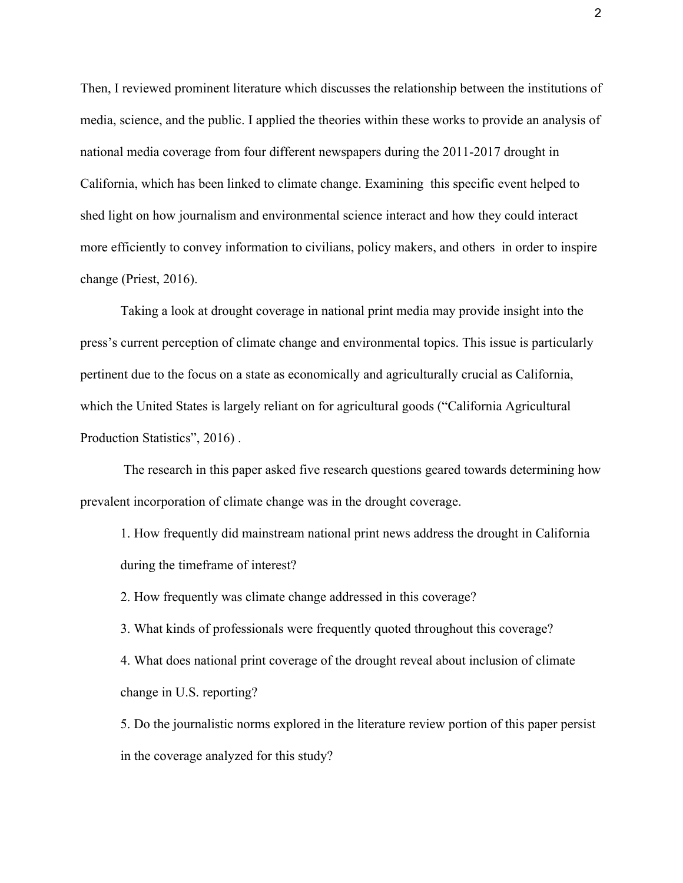Then, I reviewed prominent literature which discusses the relationship between the institutions of media, science, and the public. I applied the theories within these works to provide an analysis of national media coverage from four different newspapers during the 2011-2017 drought in California, which has been linked to climate change. Examining this specific event helped to shed light on how journalism and environmental science interact and how they could interact more efficiently to convey information to civilians, policy makers, and others in order to inspire change (Priest, 2016).

Taking a look at drought coverage in national print media may provide insight into the press's current perception of climate change and environmental topics. This issue is particularly pertinent due to the focus on a state as economically and agriculturally crucial as California, which the United States is largely reliant on for agricultural goods ("California Agricultural Production Statistics", 2016) .

 The research in this paper asked five research questions geared towards determining how prevalent incorporation of climate change was in the drought coverage.

1. How frequently did mainstream national print news address the drought in California during the timeframe of interest?

2. How frequently was climate change addressed in this coverage?

3. What kinds of professionals were frequently quoted throughout this coverage?

4. What does national print coverage of the drought reveal about inclusion of climate change in U.S. reporting?

5. Do the journalistic norms explored in the literature review portion of this paper persist in the coverage analyzed for this study?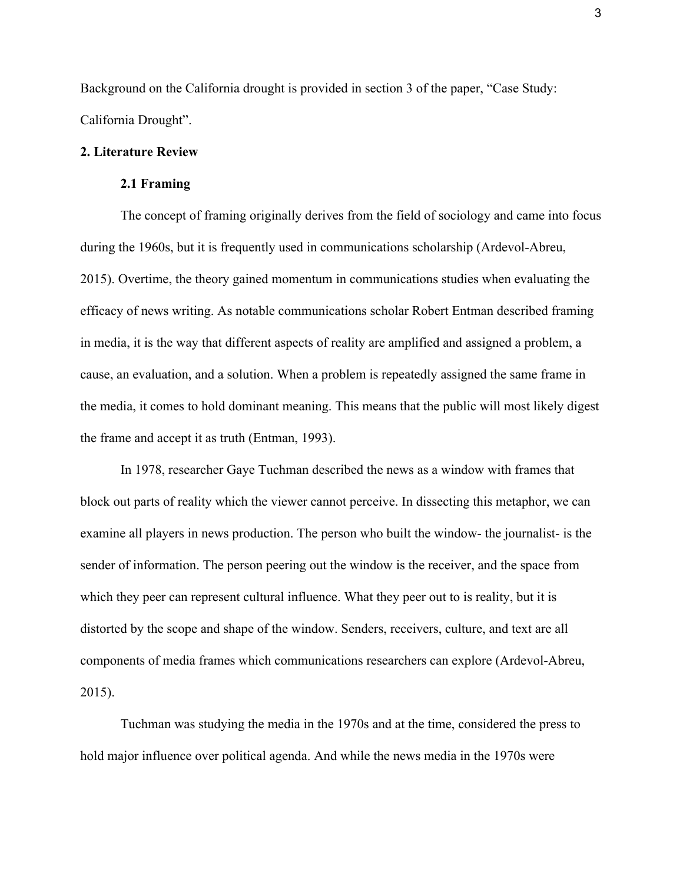Background on the California drought is provided in section 3 of the paper, "Case Study: California Drought".

# **2. Literature Review**

## **2.1 Framing**

The concept of framing originally derives from the field of sociology and came into focus during the 1960s, but it is frequently used in communications scholarship (Ardevol-Abreu, 2015). Overtime, the theory gained momentum in communications studies when evaluating the efficacy of news writing. As notable communications scholar Robert Entman described framing in media, it is the way that different aspects of reality are amplified and assigned a problem, a cause, an evaluation, and a solution. When a problem is repeatedly assigned the same frame in the media, it comes to hold dominant meaning. This means that the public will most likely digest the frame and accept it as truth (Entman, 1993).

In 1978, researcher Gaye Tuchman described the news as a window with frames that block out parts of reality which the viewer cannot perceive. In dissecting this metaphor, we can examine all players in news production. The person who built the window- the journalist- is the sender of information. The person peering out the window is the receiver, and the space from which they peer can represent cultural influence. What they peer out to is reality, but it is distorted by the scope and shape of the window. Senders, receivers, culture, and text are all components of media frames which communications researchers can explore (Ardevol-Abreu, 2015).

Tuchman was studying the media in the 1970s and at the time, considered the press to hold major influence over political agenda. And while the news media in the 1970s were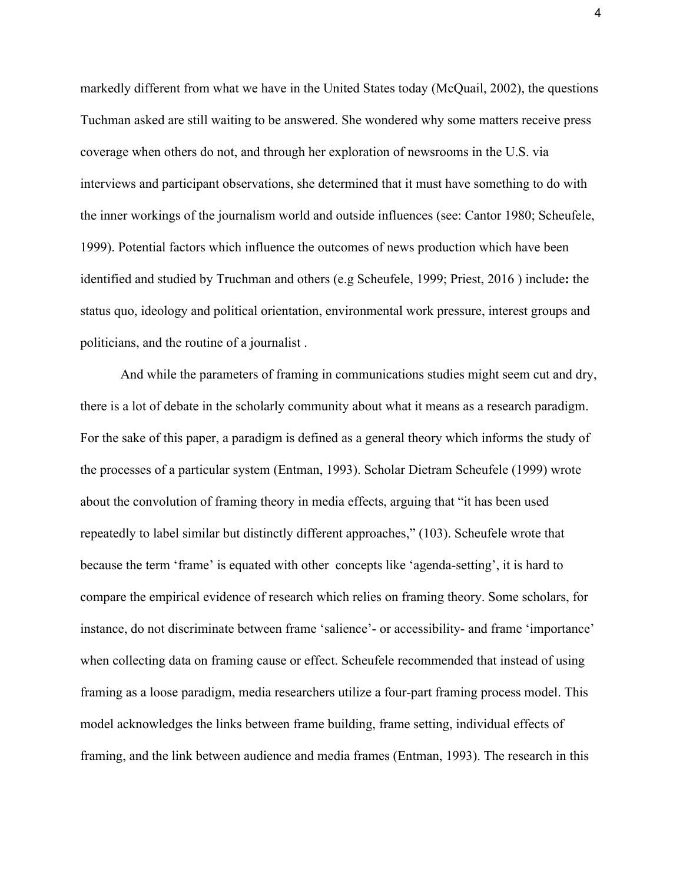markedly different from what we have in the United States today (McQuail, 2002), the questions Tuchman asked are still waiting to be answered. She wondered why some matters receive press coverage when others do not, and through her exploration of newsrooms in the U.S. via interviews and participant observations, she determined that it must have something to do with the inner workings of the journalism world and outside influences (see: Cantor 1980; Scheufele, 1999). Potential factors which influence the outcomes of news production which have been identified and studied by Truchman and others (e.g Scheufele, 1999; Priest, 2016 ) include**:** the status quo, ideology and political orientation, environmental work pressure, interest groups and politicians, and the routine of a journalist .

And while the parameters of framing in communications studies might seem cut and dry, there is a lot of debate in the scholarly community about what it means as a research paradigm. For the sake of this paper, a paradigm is defined as a general theory which informs the study of the processes of a particular system (Entman, 1993). Scholar Dietram Scheufele (1999) wrote about the convolution of framing theory in media effects, arguing that "it has been used repeatedly to label similar but distinctly different approaches," (103). Scheufele wrote that because the term 'frame' is equated with other concepts like 'agenda-setting', it is hard to compare the empirical evidence of research which relies on framing theory. Some scholars, for instance, do not discriminate between frame 'salience'- or accessibility- and frame 'importance' when collecting data on framing cause or effect. Scheufele recommended that instead of using framing as a loose paradigm, media researchers utilize a four-part framing process model. This model acknowledges the links between frame building, frame setting, individual effects of framing, and the link between audience and media frames (Entman, 1993). The research in this

4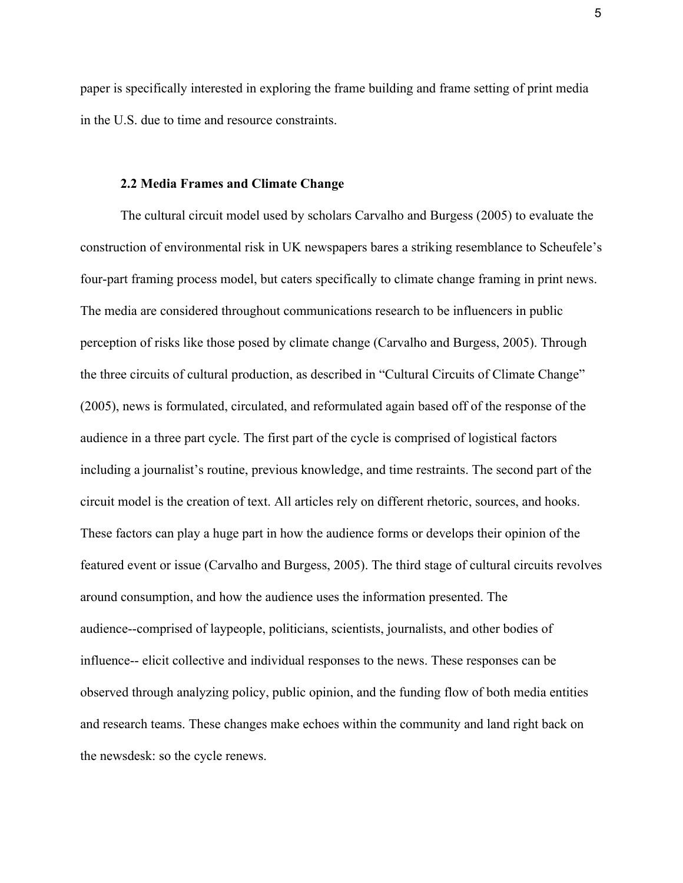paper is specifically interested in exploring the frame building and frame setting of print media in the U.S. due to time and resource constraints.

## **2.2 Media Frames and Climate Change**

The cultural circuit model used by scholars Carvalho and Burgess (2005) to evaluate the construction of environmental risk in UK newspapers bares a striking resemblance to Scheufele's four-part framing process model, but caters specifically to climate change framing in print news. The media are considered throughout communications research to be influencers in public perception of risks like those posed by climate change (Carvalho and Burgess, 2005). Through the three circuits of cultural production, as described in "Cultural Circuits of Climate Change" (2005), news is formulated, circulated, and reformulated again based off of the response of the audience in a three part cycle. The first part of the cycle is comprised of logistical factors including a journalist's routine, previous knowledge, and time restraints. The second part of the circuit model is the creation of text. All articles rely on different rhetoric, sources, and hooks. These factors can play a huge part in how the audience forms or develops their opinion of the featured event or issue (Carvalho and Burgess, 2005). The third stage of cultural circuits revolves around consumption, and how the audience uses the information presented. The audience--comprised of laypeople, politicians, scientists, journalists, and other bodies of influence-- elicit collective and individual responses to the news. These responses can be observed through analyzing policy, public opinion, and the funding flow of both media entities and research teams. These changes make echoes within the community and land right back on the newsdesk: so the cycle renews.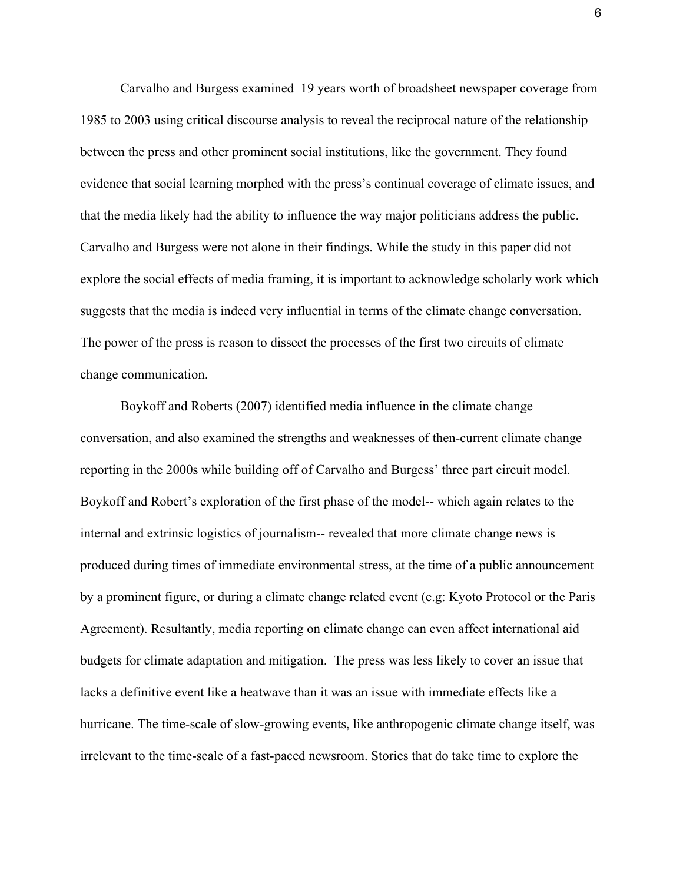Carvalho and Burgess examined 19 years worth of broadsheet newspaper coverage from 1985 to 2003 using critical discourse analysis to reveal the reciprocal nature of the relationship between the press and other prominent social institutions, like the government. They found evidence that social learning morphed with the press's continual coverage of climate issues, and that the media likely had the ability to influence the way major politicians address the public. Carvalho and Burgess were not alone in their findings. While the study in this paper did not explore the social effects of media framing, it is important to acknowledge scholarly work which suggests that the media is indeed very influential in terms of the climate change conversation. The power of the press is reason to dissect the processes of the first two circuits of climate change communication.

Boykoff and Roberts (2007) identified media influence in the climate change conversation, and also examined the strengths and weaknesses of then-current climate change reporting in the 2000s while building off of Carvalho and Burgess' three part circuit model. Boykoff and Robert's exploration of the first phase of the model-- which again relates to the internal and extrinsic logistics of journalism-- revealed that more climate change news is produced during times of immediate environmental stress, at the time of a public announcement by a prominent figure, or during a climate change related event (e.g: Kyoto Protocol or the Paris Agreement). Resultantly, media reporting on climate change can even affect international aid budgets for climate adaptation and mitigation. The press was less likely to cover an issue that lacks a definitive event like a heatwave than it was an issue with immediate effects like a hurricane. The time-scale of slow-growing events, like anthropogenic climate change itself, was irrelevant to the time-scale of a fast-paced newsroom. Stories that do take time to explore the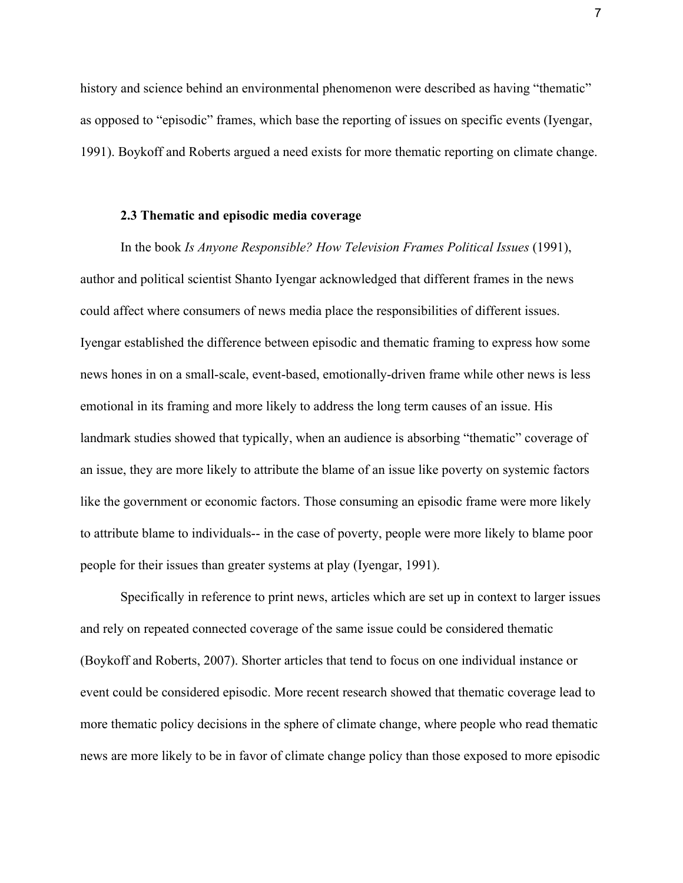history and science behind an environmental phenomenon were described as having "thematic" as opposed to "episodic" frames, which base the reporting of issues on specific events (Iyengar, 1991). Boykoff and Roberts argued a need exists for more thematic reporting on climate change.

#### **2.3 Thematic and episodic media coverage**

In the book *Is Anyone Responsible? How Television Frames Political Issues* (1991), author and political scientist Shanto Iyengar acknowledged that different frames in the news could affect where consumers of news media place the responsibilities of different issues. Iyengar established the difference between episodic and thematic framing to express how some news hones in on a small-scale, event-based, emotionally-driven frame while other news is less emotional in its framing and more likely to address the long term causes of an issue. His landmark studies showed that typically, when an audience is absorbing "thematic" coverage of an issue, they are more likely to attribute the blame of an issue like poverty on systemic factors like the government or economic factors. Those consuming an episodic frame were more likely to attribute blame to individuals-- in the case of poverty, people were more likely to blame poor people for their issues than greater systems at play (Iyengar, 1991).

Specifically in reference to print news, articles which are set up in context to larger issues and rely on repeated connected coverage of the same issue could be considered thematic (Boykoff and Roberts, 2007). Shorter articles that tend to focus on one individual instance or event could be considered episodic. More recent research showed that thematic coverage lead to more thematic policy decisions in the sphere of climate change, where people who read thematic news are more likely to be in favor of climate change policy than those exposed to more episodic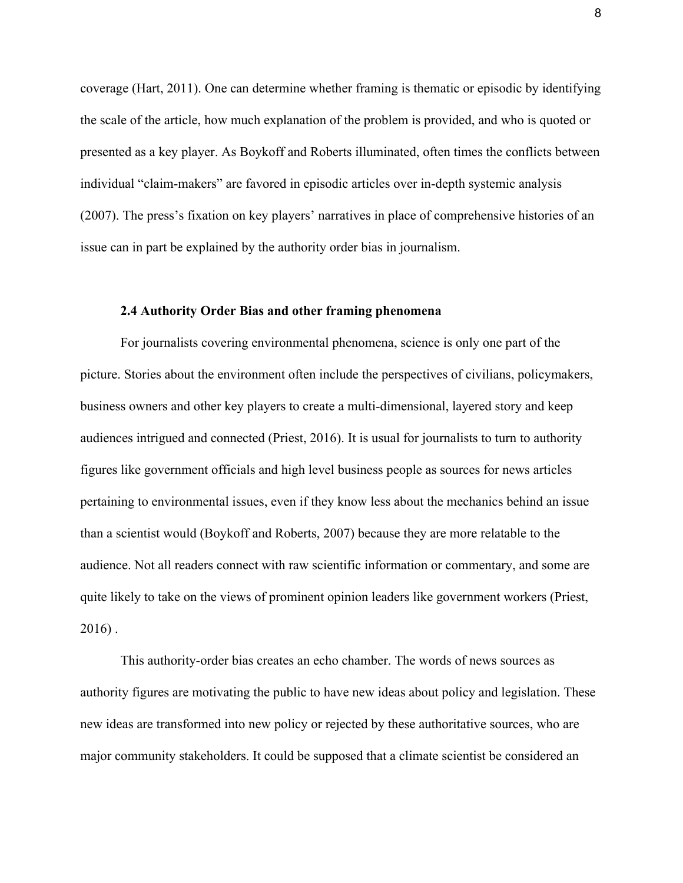coverage (Hart, 2011). One can determine whether framing is thematic or episodic by identifying the scale of the article, how much explanation of the problem is provided, and who is quoted or presented as a key player. As Boykoff and Roberts illuminated, often times the conflicts between individual "claim-makers" are favored in episodic articles over in-depth systemic analysis (2007). The press's fixation on key players' narratives in place of comprehensive histories of an issue can in part be explained by the authority order bias in journalism.

#### **2.4 Authority Order Bias and other framing phenomena**

For journalists covering environmental phenomena, science is only one part of the picture. Stories about the environment often include the perspectives of civilians, policymakers, business owners and other key players to create a multi-dimensional, layered story and keep audiences intrigued and connected (Priest, 2016). It is usual for journalists to turn to authority figures like government officials and high level business people as sources for news articles pertaining to environmental issues, even if they know less about the mechanics behind an issue than a scientist would (Boykoff and Roberts, 2007) because they are more relatable to the audience. Not all readers connect with raw scientific information or commentary, and some are quite likely to take on the views of prominent opinion leaders like government workers (Priest, 2016) .

This authority-order bias creates an echo chamber. The words of news sources as authority figures are motivating the public to have new ideas about policy and legislation. These new ideas are transformed into new policy or rejected by these authoritative sources, who are major community stakeholders. It could be supposed that a climate scientist be considered an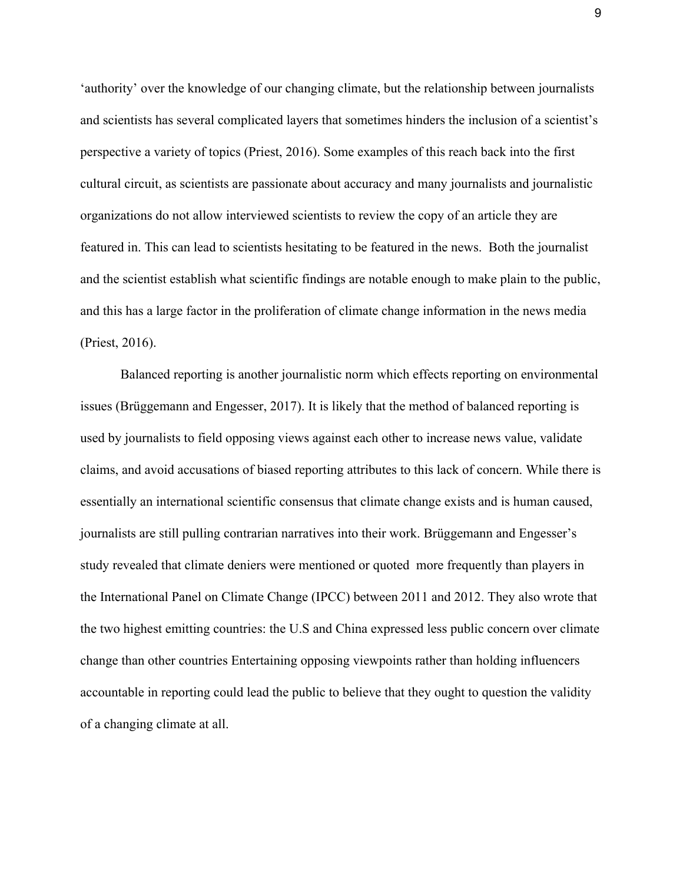'authority' over the knowledge of our changing climate, but the relationship between journalists and scientists has several complicated layers that sometimes hinders the inclusion of a scientist's perspective a variety of topics (Priest, 2016). Some examples of this reach back into the first cultural circuit, as scientists are passionate about accuracy and many journalists and journalistic organizations do not allow interviewed scientists to review the copy of an article they are featured in. This can lead to scientists hesitating to be featured in the news. Both the journalist and the scientist establish what scientific findings are notable enough to make plain to the public, and this has a large factor in the proliferation of climate change information in the news media (Priest, 2016).

Balanced reporting is another journalistic norm which effects reporting on environmental issues (Brüggemann and Engesser, 2017). It is likely that the method of balanced reporting is used by journalists to field opposing views against each other to increase news value, validate claims, and avoid accusations of biased reporting attributes to this lack of concern. While there is essentially an international scientific consensus that climate change exists and is human caused, journalists are still pulling contrarian narratives into their work. Brüggemann and Engesser's study revealed that climate deniers were mentioned or quoted more frequently than players in the International Panel on Climate Change (IPCC) between 2011 and 2012. They also wrote that the two highest emitting countries: the U.S and China expressed less public concern over climate change than other countries Entertaining opposing viewpoints rather than holding influencers accountable in reporting could lead the public to believe that they ought to question the validity of a changing climate at all.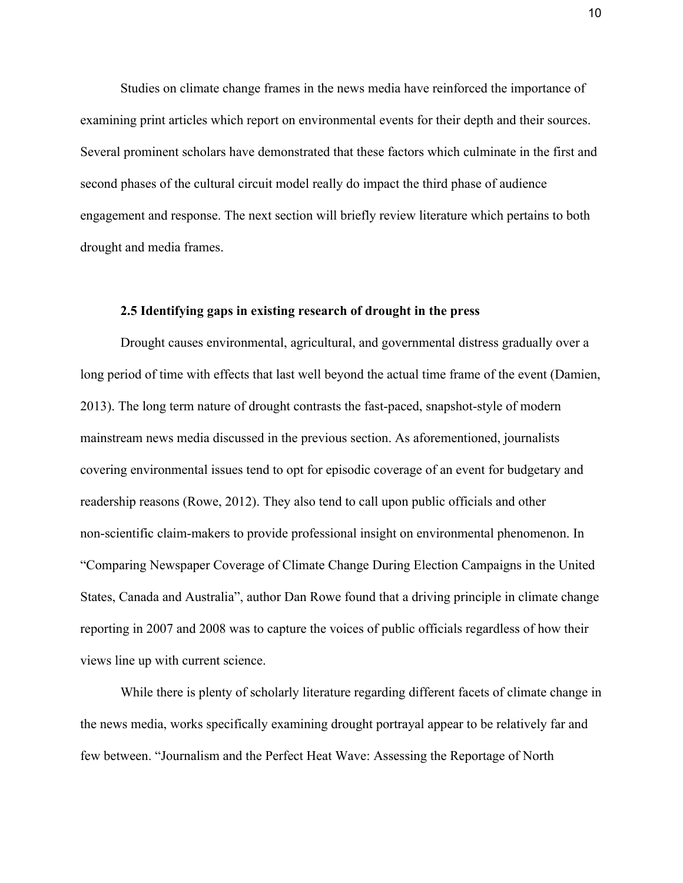Studies on climate change frames in the news media have reinforced the importance of examining print articles which report on environmental events for their depth and their sources. Several prominent scholars have demonstrated that these factors which culminate in the first and second phases of the cultural circuit model really do impact the third phase of audience engagement and response. The next section will briefly review literature which pertains to both drought and media frames.

#### **2.5 Identifying gaps in existing research of drought in the press**

Drought causes environmental, agricultural, and governmental distress gradually over a long period of time with effects that last well beyond the actual time frame of the event (Damien, 2013). The long term nature of drought contrasts the fast-paced, snapshot-style of modern mainstream news media discussed in the previous section. As aforementioned, journalists covering environmental issues tend to opt for episodic coverage of an event for budgetary and readership reasons (Rowe, 2012). They also tend to call upon public officials and other non-scientific claim-makers to provide professional insight on environmental phenomenon. In "Comparing Newspaper Coverage of Climate Change During Election Campaigns in the United States, Canada and Australia", author Dan Rowe found that a driving principle in climate change reporting in 2007 and 2008 was to capture the voices of public officials regardless of how their views line up with current science.

While there is plenty of scholarly literature regarding different facets of climate change in the news media, works specifically examining drought portrayal appear to be relatively far and few between. "Journalism and the Perfect Heat Wave: Assessing the Reportage of North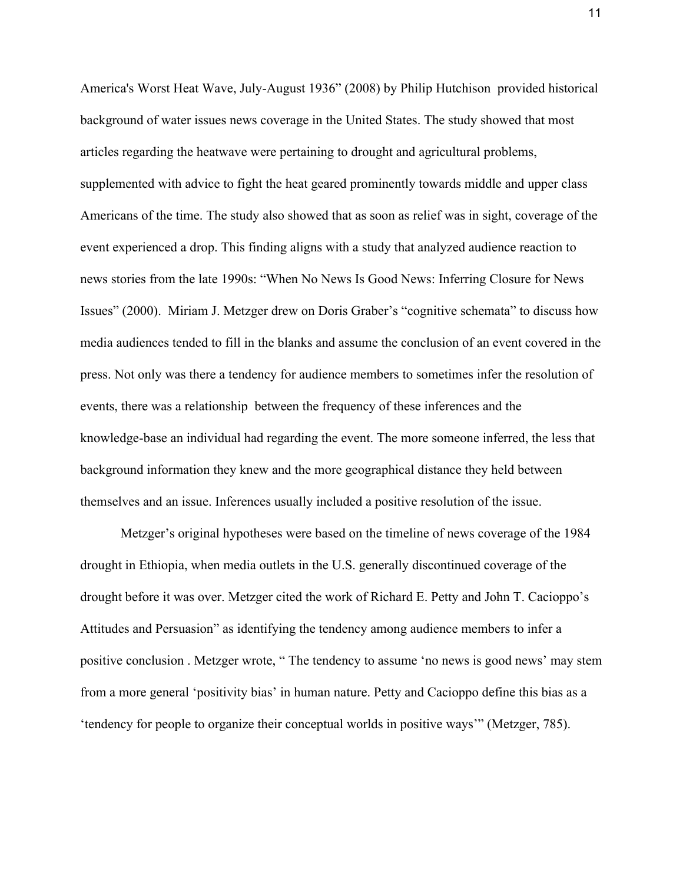America's Worst Heat Wave, July-August 1936" (2008) by Philip Hutchison provided historical background of water issues news coverage in the United States. The study showed that most articles regarding the heatwave were pertaining to drought and agricultural problems, supplemented with advice to fight the heat geared prominently towards middle and upper class Americans of the time. The study also showed that as soon as relief was in sight, coverage of the event experienced a drop. This finding aligns with a study that analyzed audience reaction to news stories from the late 1990s: ["When No News Is Good News: Inferring Closure for News](http://journals.sagepub.com/doi/pdf/10.1177/107769900007700404) [Issues](http://journals.sagepub.com/doi/pdf/10.1177/107769900007700404)" (2000). Miriam J. Metzger drew on Doris Graber's "cognitive schemata" to discuss how media audiences tended to fill in the blanks and assume the conclusion of an event covered in the press. Not only was there a tendency for audience members to sometimes infer the resolution of events, there was a relationship between the frequency of these inferences and the knowledge-base an individual had regarding the event. The more someone inferred, the less that background information they knew and the more geographical distance they held between themselves and an issue. Inferences usually included a positive resolution of the issue.

Metzger's original hypotheses were based on the timeline of news coverage of the 1984 drought in Ethiopia, when media outlets in the U.S. generally discontinued coverage of the drought before it was over. Metzger cited the work of Richard E. Petty and John T. Cacioppo's Attitudes and Persuasion" as identifying the tendency among audience members to infer a positive conclusion . Metzger wrote, " The tendency to assume 'no news is good news' may stem from a more general 'positivity bias' in human nature. Petty and Cacioppo define this bias as a 'tendency for people to organize their conceptual worlds in positive ways'" (Metzger, 785).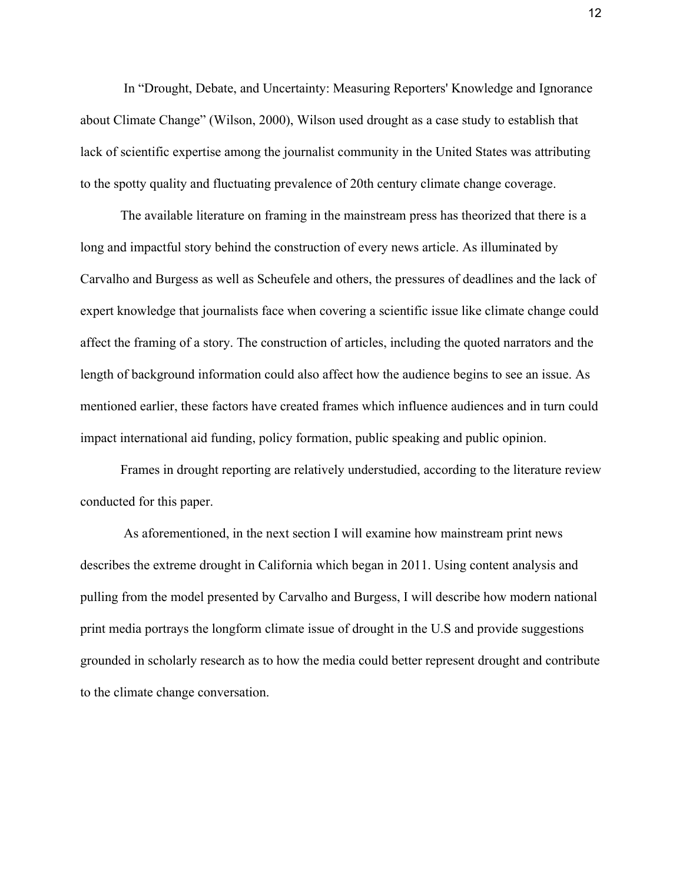In "Drought, Debate, and Uncertainty: Measuring Reporters' Knowledge and Ignorance about Climate Change" (Wilson, 2000), Wilson used drought as a case study to establish that lack of scientific expertise among the journalist community in the United States was attributing to the spotty quality and fluctuating prevalence of 20th century climate change coverage.

The available literature on framing in the mainstream press has theorized that there is a long and impactful story behind the construction of every news article. As illuminated by Carvalho and Burgess as well as Scheufele and others, the pressures of deadlines and the lack of expert knowledge that journalists face when covering a scientific issue like climate change could affect the framing of a story. The construction of articles, including the quoted narrators and the length of background information could also affect how the audience begins to see an issue. As mentioned earlier, these factors have created frames which influence audiences and in turn could impact international aid funding, policy formation, public speaking and public opinion.

Frames in drought reporting are relatively understudied, according to the literature review conducted for this paper.

 As aforementioned, in the next section I will examine how mainstream print news describes the extreme drought in California which began in 2011. Using content analysis and pulling from the model presented by Carvalho and Burgess, I will describe how modern national print media portrays the longform climate issue of drought in the U.S and provide suggestions grounded in scholarly research as to how the media could better represent drought and contribute to the climate change conversation.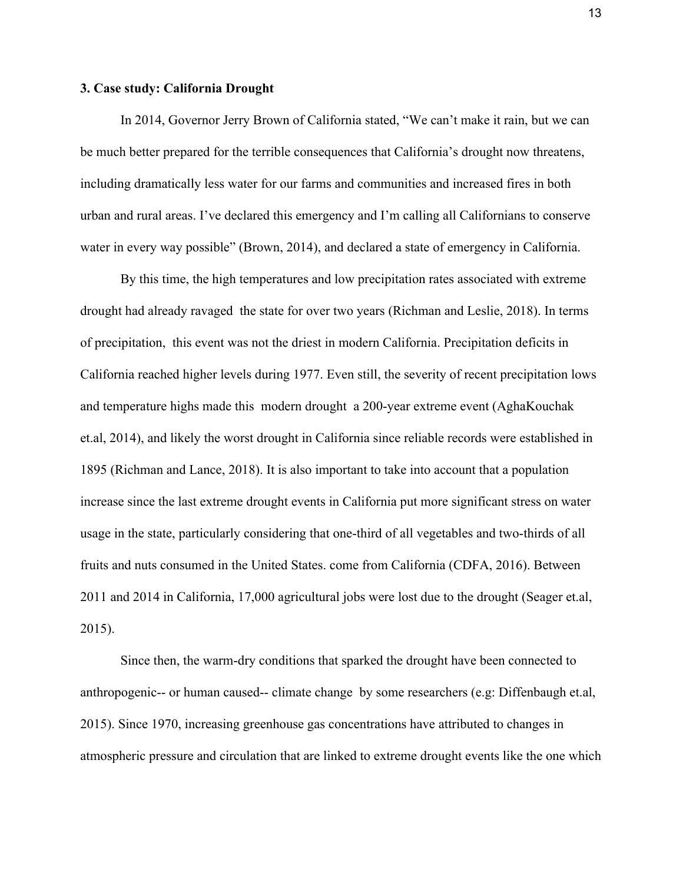#### **3. Case study: California Drought**

In 2014, Governor Jerry Brown of California stated, "We can't make it rain, but we can be much better prepared for the terrible consequences that California's drought now threatens, including dramatically less water for our farms and communities and increased fires in both urban and rural areas. I've declared this emergency and I'm calling all Californians to conserve water in every way possible" (Brown, 2014), and declared a state of emergency in California.

By this time, the high temperatures and low precipitation rates associated with extreme drought had already ravaged the state for over two years (Richman and Leslie, 2018). In terms of precipitation, this event was not the driest in modern California. Precipitation deficits in California reached higher levels during 1977. Even still, the severity of recent precipitation lows and temperature highs made this modern drought a 200-year extreme event (AghaKouchak et.al, 2014), and likely the worst drought in California since reliable records were established in 1895 (Richman and Lance, 2018). It is also important to take into account that a population increase since the last extreme drought events in California put more significant stress on water usage in the state, particularly considering that one-third of all vegetables and two-thirds of all fruits and nuts consumed in the United States. come from California (CDFA, 2016). Between 2011 and 2014 in California, 17,000 agricultural jobs were lost due to the drought (Seager et.al, 2015).

Since then, the warm-dry conditions that sparked the drought have been connected to anthropogenic-- or human caused-- climate change by some researchers (e.g: Diffenbaugh et.al, 2015). Since 1970, increasing greenhouse gas concentrations have attributed to changes in atmospheric pressure and circulation that are linked to extreme drought events like the one which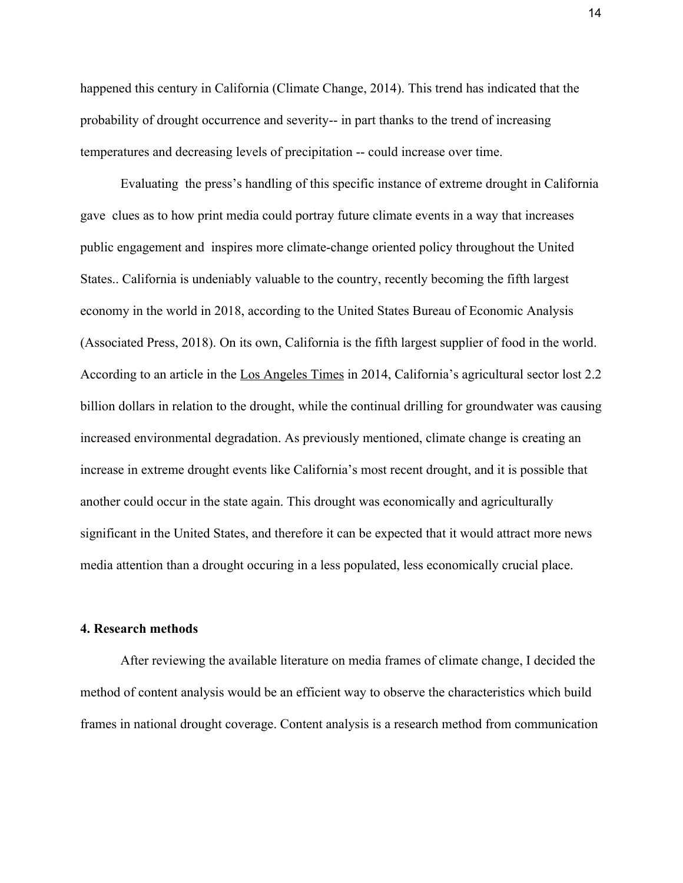happened this century in California (Climate Change, 2014). This trend has indicated that the probability of drought occurrence and severity-- in part thanks to the trend of increasing temperatures and decreasing levels of precipitation -- could increase over time.

Evaluating the press's handling of this specific instance of extreme drought in California gave clues as to how print media could portray future climate events in a way that increases public engagement and inspires more climate-change oriented policy throughout the United States.. California is undeniably valuable to the country, recently becoming the fifth largest economy in the world in 2018, according to the United States Bureau of Economic Analysis (Associated Press, 2018). On its own, California is the fifth largest supplier of food in the world. According to an article in the Los Angeles Times in 2014, California's agricultural sector lost 2.2 billion dollars in relation to the drought, while the continual drilling for groundwater was causing increased environmental degradation. As previously mentioned, climate change is creating an increase in extreme drought events like California's most recent drought, and it is possible that another could occur in the state again. This drought was economically and agriculturally significant in the United States, and therefore it can be expected that it would attract more news media attention than a drought occuring in a less populated, less economically crucial place.

#### **4. Research methods**

After reviewing the available literature on media frames of climate change, I decided the method of content analysis would be an efficient way to observe the characteristics which build frames in national drought coverage. Content analysis is a research method from communication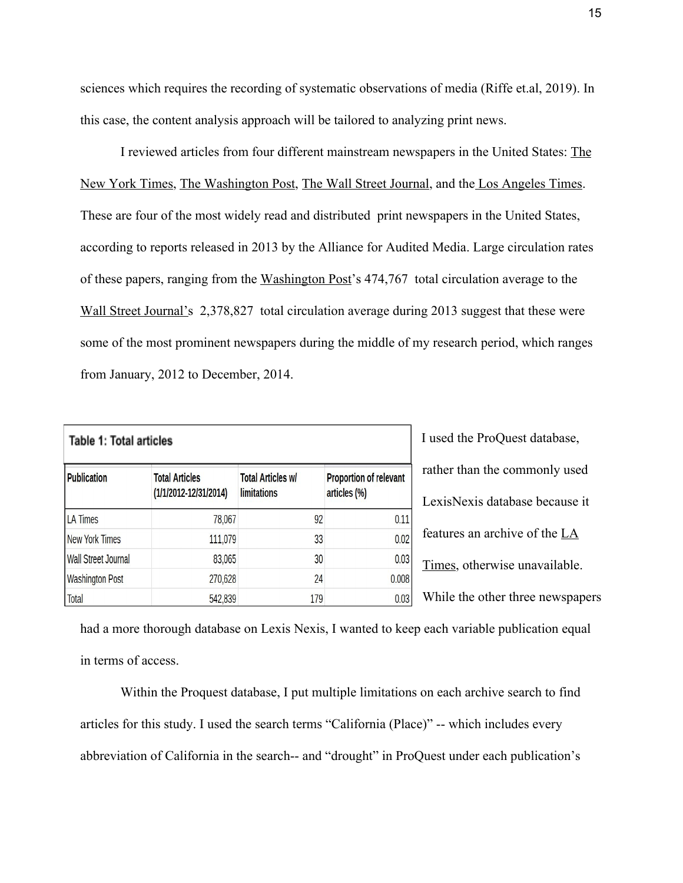sciences which requires the recording of systematic observations of media (Riffe et.al, 2019). In this case, the content analysis approach will be tailored to analyzing print news.

I reviewed articles from four different mainstream newspapers in the United States: The New York Times, The Washington Post, The Wall Street Journal, and the Los Angeles Times. These are four of the most widely read and distributed print newspapers in the United States, according to reports released in 2013 by the Alliance for Audited Media. Large circulation rates of these papers, ranging from the Washington Post's 474,767 total circulation average to the Wall Street Journal's 2,378,827 total circulation average during 2013 suggest that these were some of the most prominent newspapers during the middle of my research period, which ranges from January, 2012 to December, 2014.

| <b>Table 1: Total articles</b> |                                                |                                                |                                               | I used the ProQuest database,    |
|--------------------------------|------------------------------------------------|------------------------------------------------|-----------------------------------------------|----------------------------------|
| <b>Publication</b>             | <b>Total Articles</b><br>(1/1/2012-12/31/2014) | <b>Total Articles w/</b><br><b>limitations</b> | <b>Proportion of relevant</b><br>articles (%) | rather than the commonly used    |
|                                |                                                |                                                |                                               | LexisNexis database because it   |
| <b>LA Times</b>                | 78,067                                         | 92                                             | 0.11                                          |                                  |
| <b>New York Times</b>          | 111,079                                        | 33                                             | 0.02                                          | features an archive of the LA    |
| <b>Wall Street Journal</b>     | 83,065                                         | 30                                             | 0.03                                          | Times, otherwise unavailable.    |
| <b>Washington Post</b>         | 270,628                                        | 24                                             | 0.008                                         |                                  |
| <b>Total</b>                   | 542,839                                        | 179                                            | 0.03                                          | While the other three newspapers |

had a more thorough database on Lexis Nexis, I wanted to keep each variable publication equal in terms of access.

Within the Proquest database, I put multiple limitations on each archive search to find articles for this study. I used the search terms "California (Place)" -- which includes every abbreviation of California in the search-- and "drought" in ProQuest under each publication's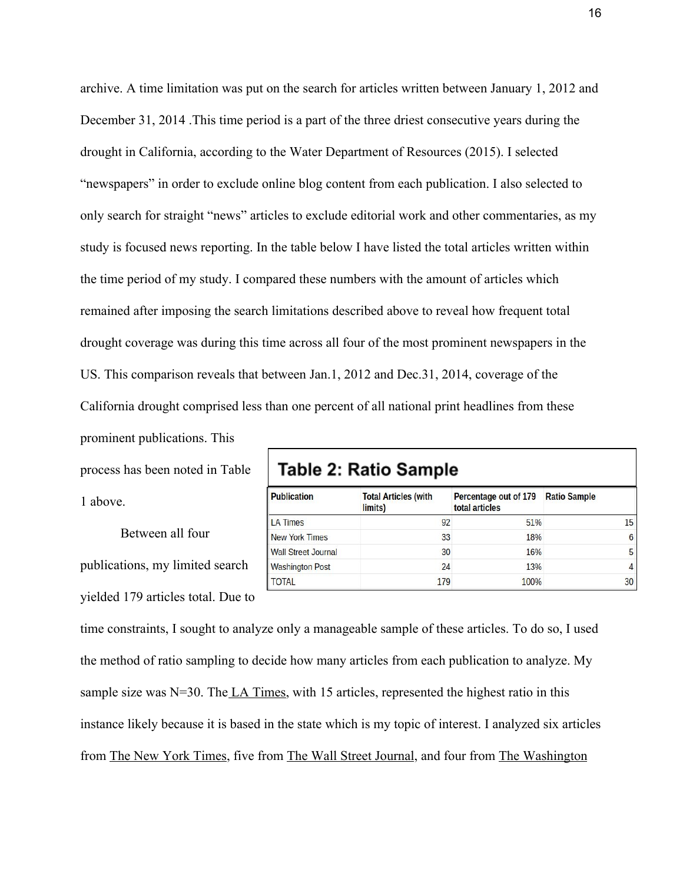archive. A time limitation was put on the search for articles written between January 1, 2012 and December 31, 2014 .This time period is a part of the three driest consecutive years during the drought in California, according to the Water Department of Resources (2015). I selected "newspapers" in order to exclude online blog content from each publication. I also selected to only search for straight "news" articles to exclude editorial work and other commentaries, as my study is focused news reporting. In the table below I have listed the total articles written within the time period of my study. I compared these numbers with the amount of articles which remained after imposing the search limitations described above to reveal how frequent total drought coverage was during this time across all four of the most prominent newspapers in the US. This comparison reveals that between Jan.1, 2012 and Dec.31, 2014, coverage of the California drought comprised less than one percent of all national print headlines from these prominent publications. This

process has been noted in Table 1 above.

Between all four publications, my limited search yielded 179 articles total. Due to

# **Table 2: Ratio Sample**

| <b>Publication</b>         | <b>Total Articles (with</b><br>limits) | Percentage out of 179<br>total articles | <b>Ratio Sample</b> |
|----------------------------|----------------------------------------|-----------------------------------------|---------------------|
| <b>LA Times</b>            | 92                                     | 51%                                     | 15                  |
| <b>New York Times</b>      | 33                                     | 18%                                     | 6                   |
| <b>Wall Street Journal</b> | 30                                     | 16%                                     | 5                   |
| <b>Washington Post</b>     | 24                                     | 13%                                     | $\overline{4}$      |
| <b>TOTAL</b>               | 179                                    | 100%                                    | 30                  |

time constraints, I sought to analyze only a manageable sample of these articles. To do so, I used the method of ratio sampling to decide how many articles from each publication to analyze. My sample size was  $N=30$ . The LA Times, with 15 articles, represented the highest ratio in this instance likely because it is based in the state which is my topic of interest. I analyzed six articles from The New York Times, five from The Wall Street Journal, and four from The Washington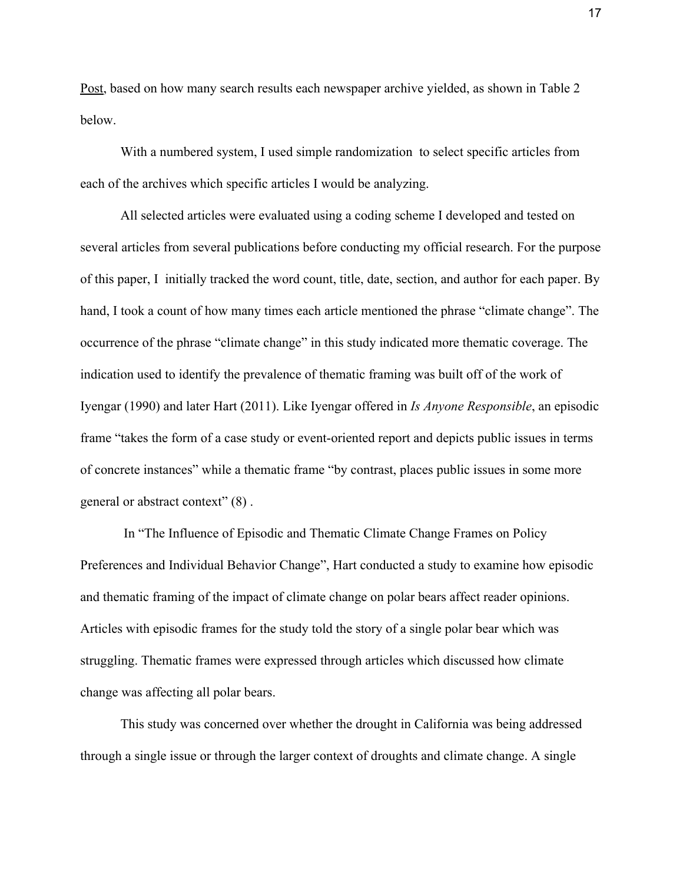Post, based on how many search results each newspaper archive yielded, as shown in Table 2 below.

With a numbered system, I used simple randomization to select specific articles from each of the archives which specific articles I would be analyzing.

All selected articles were evaluated using a coding scheme I developed and tested on several articles from several publications before conducting my official research. For the purpose of this paper, I initially tracked the word count, title, date, section, and author for each paper. By hand, I took a count of how many times each article mentioned the phrase "climate change". The occurrence of the phrase "climate change" in this study indicated more thematic coverage. The indication used to identify the prevalence of thematic framing was built off of the work of Iyengar (1990) and later Hart (2011). Like Iyengar offered in *Is Anyone Responsible*, an episodic frame "takes the form of a case study or event-oriented report and depicts public issues in terms of concrete instances" while a thematic frame "by contrast, places public issues in some more general or abstract context" (8) .

 In "The Influence of Episodic and Thematic Climate Change Frames on Policy Preferences and Individual Behavior Change", Hart conducted a study to examine how episodic and thematic framing of the impact of climate change on polar bears affect reader opinions. Articles with episodic frames for the study told the story of a single polar bear which was struggling. Thematic frames were expressed through articles which discussed how climate change was affecting all polar bears.

This study was concerned over whether the drought in California was being addressed through a single issue or through the larger context of droughts and climate change. A single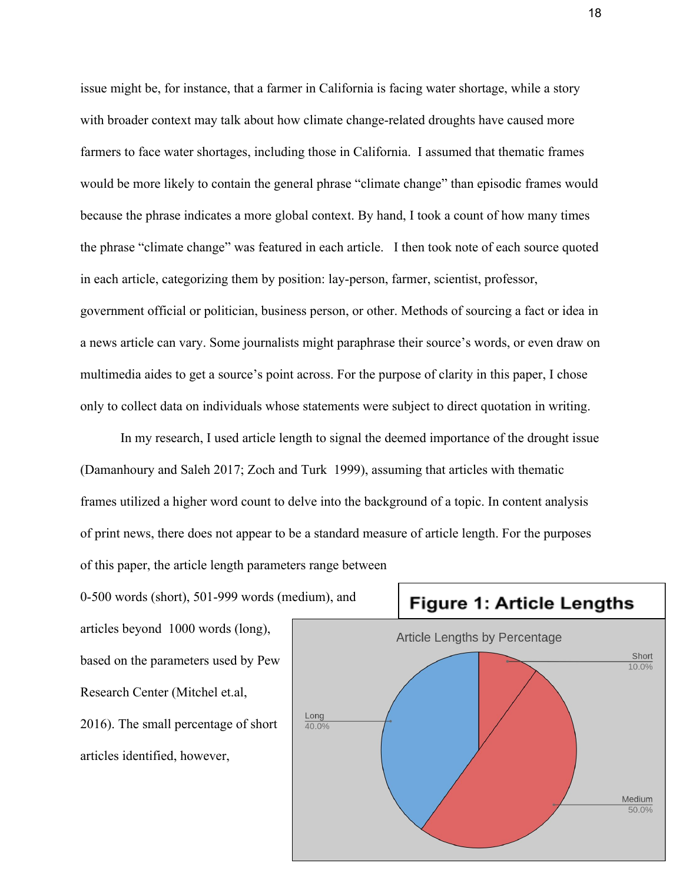issue might be, for instance, that a farmer in California is facing water shortage, while a story with broader context may talk about how climate change-related droughts have caused more farmers to face water shortages, including those in California. I assumed that thematic frames would be more likely to contain the general phrase "climate change" than episodic frames would because the phrase indicates a more global context. By hand, I took a count of how many times the phrase "climate change" was featured in each article. I then took note of each source quoted in each article, categorizing them by position: lay-person, farmer, scientist, professor, government official or politician, business person, or other. Methods of sourcing a fact or idea in a news article can vary. Some journalists might paraphrase their source's words, or even draw on multimedia aides to get a source's point across. For the purpose of clarity in this paper, I chose only to collect data on individuals whose statements were subject to direct quotation in writing.

In my research, I used article length to signal the deemed importance of the drought issue (Damanhoury and Saleh 2017; Zoch and Turk 1999), assuming that articles with thematic frames utilized a higher word count to delve into the background of a topic. In content analysis of print news, there does not appear to be a standard measure of article length. For the purposes of this paper, the article length parameters range between

0-500 words (short), 501-999 words (medium), and articles beyond 1000 words (long), based on the parameters used by Pew Research Center (Mitchel et.al, 2016). The small percentage of short articles identified, however,



**Figure 1: Article Lengths**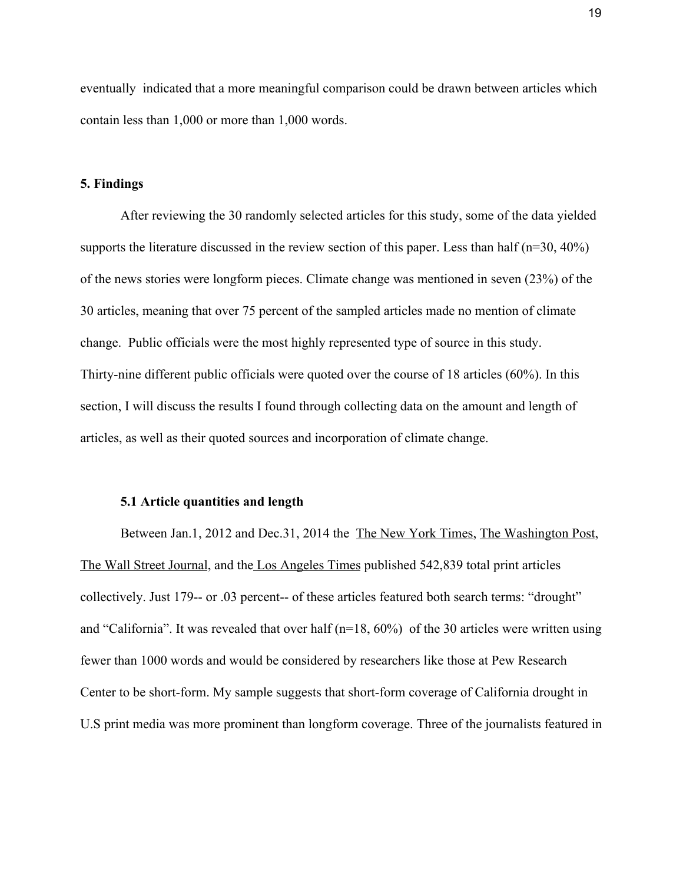eventually indicated that a more meaningful comparison could be drawn between articles which contain less than 1,000 or more than 1,000 words.

# **5. Findings**

After reviewing the 30 randomly selected articles for this study, some of the data yielded supports the literature discussed in the review section of this paper. Less than half (n=30, 40%) of the news stories were longform pieces. Climate change was mentioned in seven (23%) of the 30 articles, meaning that over 75 percent of the sampled articles made no mention of climate change. Public officials were the most highly represented type of source in this study. Thirty-nine different public officials were quoted over the course of 18 articles (60%). In this section, I will discuss the results I found through collecting data on the amount and length of articles, as well as their quoted sources and incorporation of climate change.

#### **5.1 Article quantities and length**

Between Jan.1, 2012 and Dec.31, 2014 the The New York Times, The Washington Post, The Wall Street Journal, and the Los Angeles Times published 542,839 total print articles collectively. Just 179-- or .03 percent-- of these articles featured both search terms: "drought" and "California". It was revealed that over half (n=18, 60%) of the 30 articles were written using fewer than 1000 words and would be considered by researchers like those at Pew Research Center to be short-form. My sample suggests that short-form coverage of California drought in U.S print media was more prominent than longform coverage. Three of the journalists featured in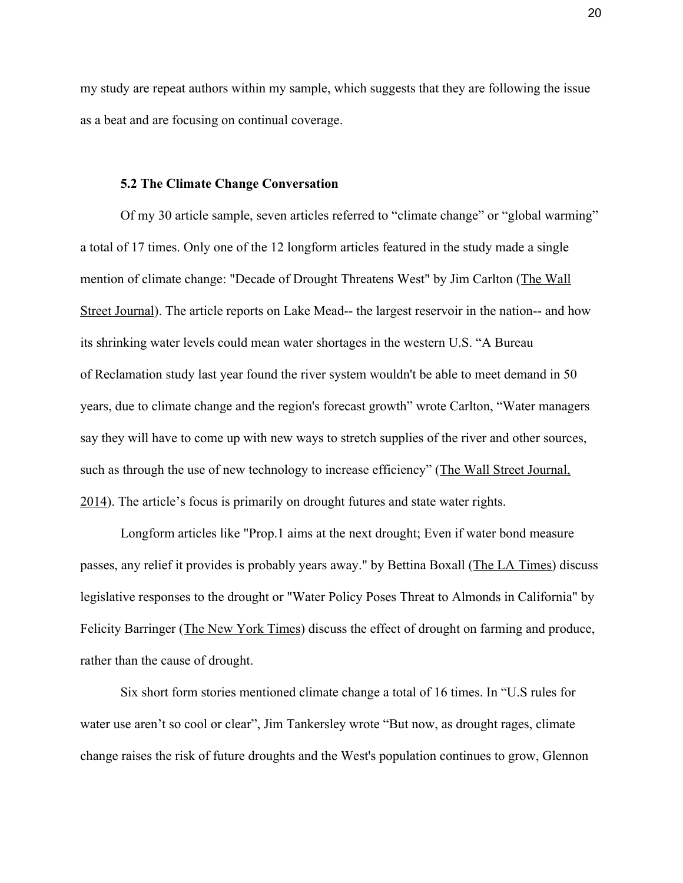my study are repeat authors within my sample, which suggests that they are following the issue as a beat and are focusing on continual coverage.

## **5.2 The Climate Change Conversation**

Of my 30 article sample, seven articles referred to "climate change" or "global warming" a total of 17 times. Only one of the 12 longform articles featured in the study made a single mention of climate change: "Decade of Drought Threatens West" by Jim Carlton (The Wall Street Journal). The article reports on Lake Mead-- the largest reservoir in the nation-- and how its shrinking water levels could mean water shortages in the western U.S. "A Bureau of Reclamation study last year found the river system wouldn't be able to meet demand in 50 years, due to climate change and the region's forecast growth" wrote Carlton, "Water managers say they will have to come up with new ways to stretch supplies of the river and other sources, such as through the use of new technology to increase efficiency" (The Wall Street Journal, 2014). The article's focus is primarily on drought futures and state water rights.

Longform articles like "Prop.1 aims at the next drought; Even if water bond measure passes, any relief it provides is probably years away." by Bettina Boxall (The LA Times) discuss legislative responses to the drought or "Water Policy Poses Threat to Almonds in California" by Felicity Barringer (The New York Times) discuss the effect of drought on farming and produce, rather than the cause of drought.

Six short form stories mentioned climate change a total of 16 times. In "U.S rules for water use aren't so cool or clear", Jim Tankersley wrote "But now, as drought rages, climate change raises the risk of future droughts and the West's population continues to grow, Glennon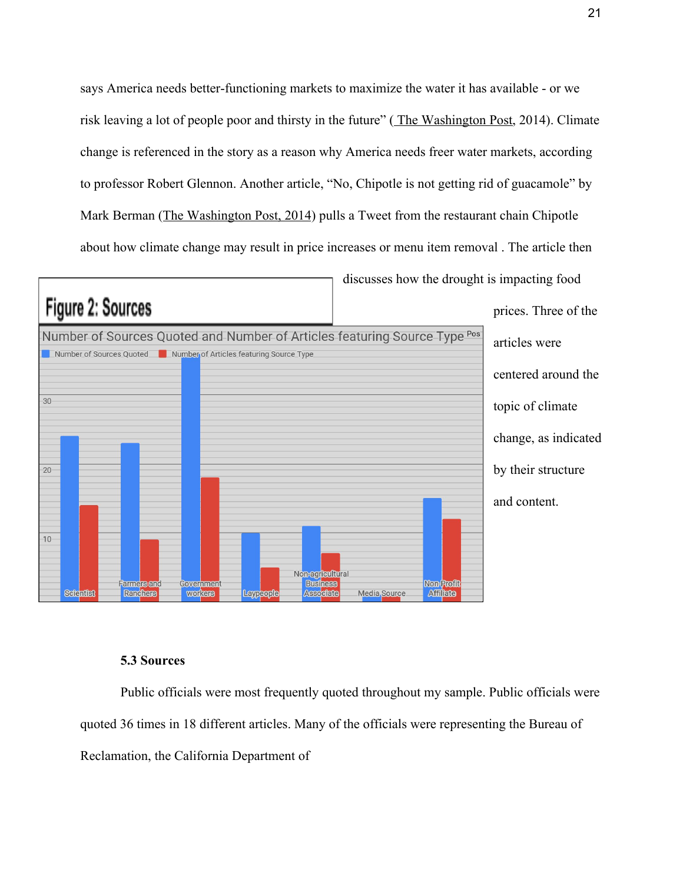says America needs better-functioning markets to maximize the water it has available - or we risk leaving a lot of people poor and thirsty in the future" ( The Washington Post, 2014). Climate change is referenced in the story as a reason why America needs freer water markets, according to professor Robert Glennon. Another article, "No, Chipotle is not getting rid of guacamole" by Mark Berman (The Washington Post, 2014) pulls a Tweet from the restaurant chain Chipotle about how climate change may result in price increases or menu item removal . The article then



# **5.3 Sources**

Public officials were most frequently quoted throughout my sample. Public officials were quoted 36 times in 18 different articles. Many of the officials were representing the Bureau of Reclamation, the California Department of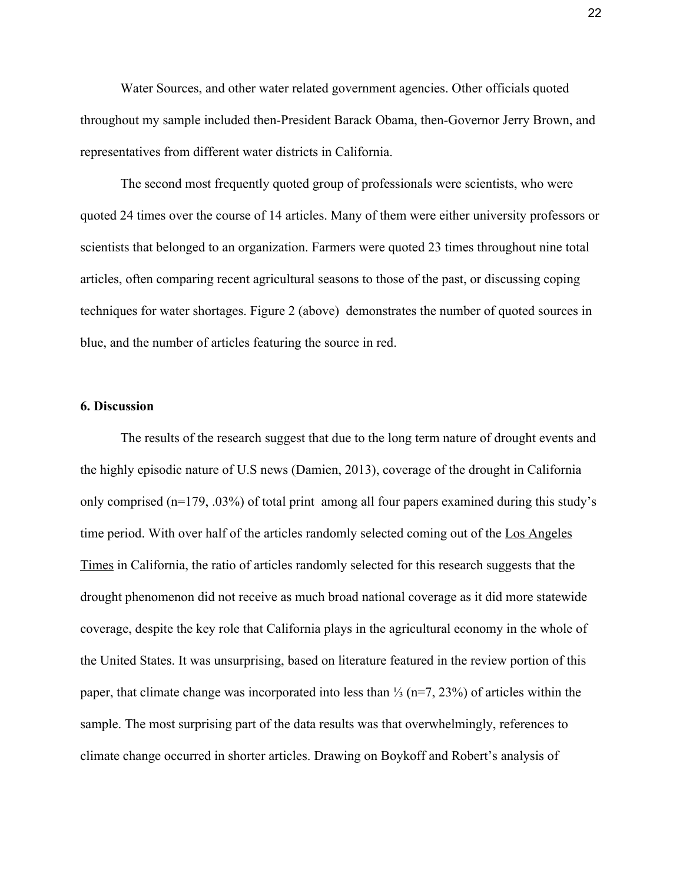Water Sources, and other water related government agencies. Other officials quoted throughout my sample included then-President Barack Obama, then-Governor Jerry Brown, and representatives from different water districts in California.

The second most frequently quoted group of professionals were scientists, who were quoted 24 times over the course of 14 articles. Many of them were either university professors or scientists that belonged to an organization. Farmers were quoted 23 times throughout nine total articles, often comparing recent agricultural seasons to those of the past, or discussing coping techniques for water shortages. Figure 2 (above) demonstrates the number of quoted sources in blue, and the number of articles featuring the source in red.

## **6. Discussion**

The results of the research suggest that due to the long term nature of drought events and the highly episodic nature of U.S news (Damien, 2013), coverage of the drought in California only comprised (n=179, .03%) of total print among all four papers examined during this study's time period. With over half of the articles randomly selected coming out of the Los Angeles Times in California, the ratio of articles randomly selected for this research suggests that the drought phenomenon did not receive as much broad national coverage as it did more statewide coverage, despite the key role that California plays in the agricultural economy in the whole of the United States. It was unsurprising, based on literature featured in the review portion of this paper, that climate change was incorporated into less than ⅓ (n=7, 23%) of articles within the sample. The most surprising part of the data results was that overwhelmingly, references to climate change occurred in shorter articles. Drawing on Boykoff and Robert's analysis of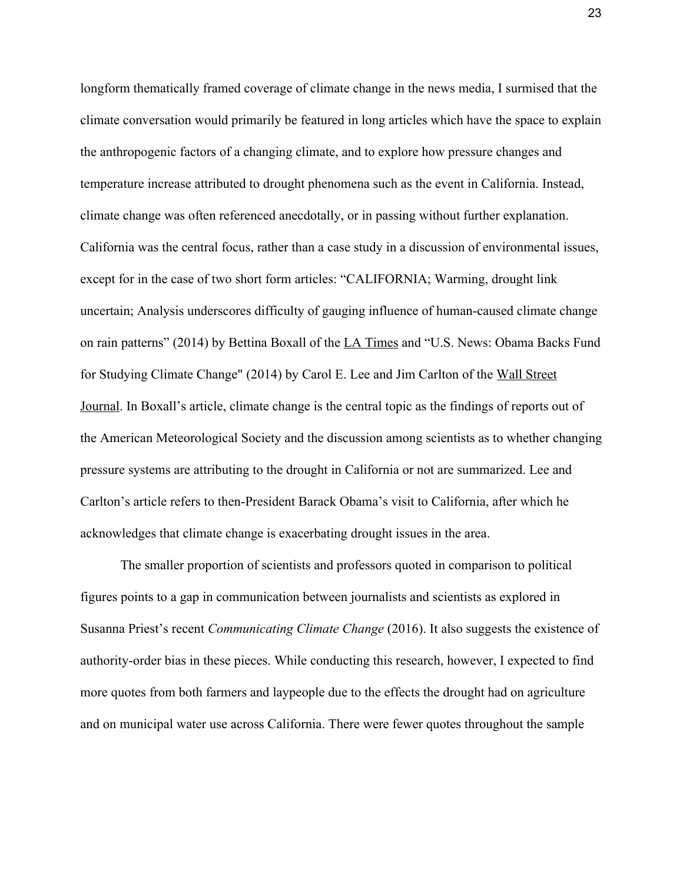longform thematically framed coverage of climate change in the news media, I surmised that the climate conversation would primarily be featured in long articles which have the space to explain the anthropogenic factors of a changing climate, and to explore how pressure changes and temperature increase attributed to drought phenomena such as the event in California. Instead, climate change was often referenced anecdotally, or in passing without further explanation. California was the central focus, rather than a case study in a discussion of environmental issues, except for in the case of two short form articles: "CALIFORNIA; Warming, drought link uncertain; Analysis underscores difficulty of gauging influence of human-caused climate change on rain patterns" (2014) by Bettina Boxall of the LA Times and "U.S. News: Obama Backs Fund for Studying Climate Change" (2014) by Carol E. Lee and Jim Carlton of the Wall Street Journal. In Boxall's article, climate change is the central topic as the findings of reports out of the American Meteorological Society and the discussion among scientists as to whether changing pressure systems are attributing to the drought in California or not are summarized. Lee and Carlton's article refers to then-President Barack Obama's visit to California, after which he acknowledges that climate change is exacerbating drought issues in the area.

The smaller proportion of scientists and professors quoted in comparison to political figures points to a gap in communication between journalists and scientists as explored in Susanna Priest's recent *Communicating Climate Change* (2016). It also suggests the existence of authority-order bias in these pieces. While conducting this research, however, I expected to find more quotes from both farmers and laypeople due to the effects the drought had on agriculture and on municipal water use across California. There were fewer quotes throughout the sample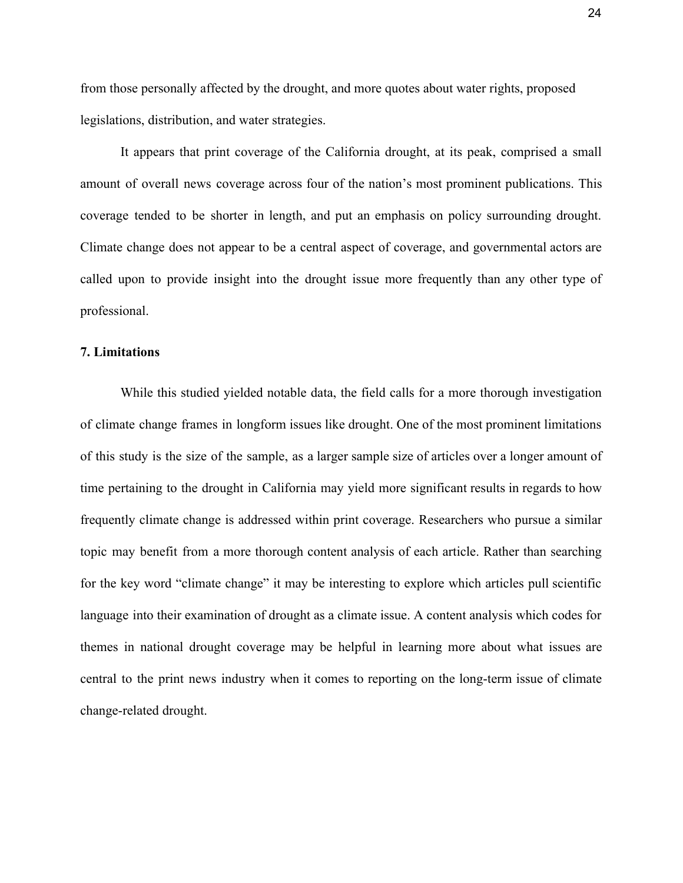from those personally affected by the drought, and more quotes about water rights, proposed legislations, distribution, and water strategies.

It appears that print coverage of the California drought, at its peak, comprised a small amount of overall news coverage across four of the nation's most prominent publications. This coverage tended to be shorter in length, and put an emphasis on policy surrounding drought. Climate change does not appear to be a central aspect of coverage, and governmental actors are called upon to provide insight into the drought issue more frequently than any other type of professional.

#### **7. Limitations**

While this studied yielded notable data, the field calls for a more thorough investigation of climate change frames in longform issues like drought. One of the most prominent limitations of this study is the size of the sample, as a larger sample size of articles over a longer amount of time pertaining to the drought in California may yield more significant results in regards to how frequently climate change is addressed within print coverage. Researchers who pursue a similar topic may benefit from a more thorough content analysis of each article. Rather than searching for the key word "climate change" it may be interesting to explore which articles pull scientific language into their examination of drought as a climate issue. A content analysis which codes for themes in national drought coverage may be helpful in learning more about what issues are central to the print news industry when it comes to reporting on the long-term issue of climate change-related drought.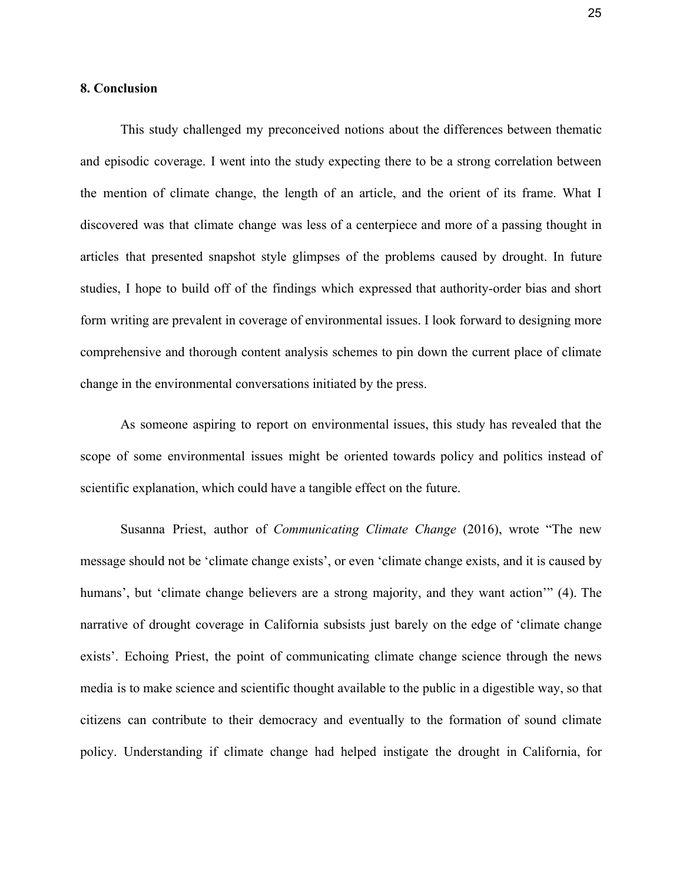#### **8. Conclusion**

This study challenged my preconceived notions about the differences between thematic and episodic coverage. I went into the study expecting there to be a strong correlation between the mention of climate change, the length of an article, and the orient of its frame. What I discovered was that climate change was less of a centerpiece and more of a passing thought in articles that presented snapshot style glimpses of the problems caused by drought. In future studies, I hope to build off of the findings which expressed that authority-order bias and short form writing are prevalent in coverage of environmental issues. I look forward to designing more comprehensive and thorough content analysis schemes to pin down the current place of climate change in the environmental conversations initiated by the press.

As someone aspiring to report on environmental issues, this study has revealed that the scope of some environmental issues might be oriented towards policy and politics instead of scientific explanation, which could have a tangible effect on the future.

Susanna Priest, author of *Communicating Climate Change* (2016), wrote "The new message should not be 'climate change exists', or even 'climate change exists, and it is caused by humans', but 'climate change believers are a strong majority, and they want action'" (4). The narrative of drought coverage in California subsists just barely on the edge of 'climate change exists'. Echoing Priest, the point of communicating climate change science through the news media is to make science and scientific thought available to the public in a digestible way, so that citizens can contribute to their democracy and eventually to the formation of sound climate policy. Understanding if climate change had helped instigate the drought in California, for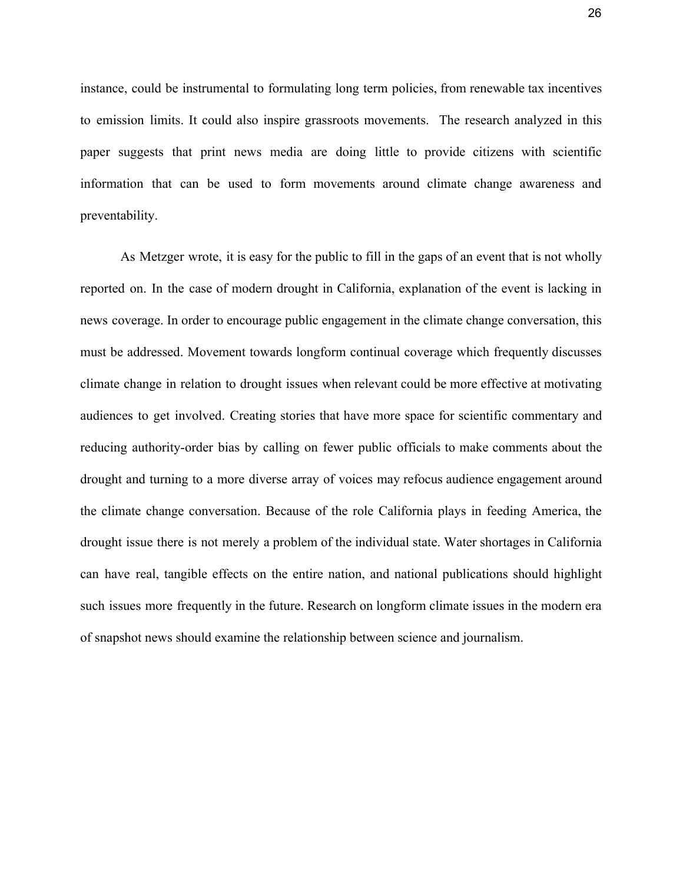instance, could be instrumental to formulating long term policies, from renewable tax incentives to emission limits. It could also inspire grassroots movements. The research analyzed in this paper suggests that print news media are doing little to provide citizens with scientific information that can be used to form movements around climate change awareness and preventability.

As Metzger wrote, it is easy for the public to fill in the gaps of an event that is not wholly reported on. In the case of modern drought in California, explanation of the event is lacking in news coverage. In order to encourage public engagement in the climate change conversation, this must be addressed. Movement towards longform continual coverage which frequently discusses climate change in relation to drought issues when relevant could be more effective at motivating audiences to get involved. Creating stories that have more space for scientific commentary and reducing authority-order bias by calling on fewer public officials to make comments about the drought and turning to a more diverse array of voices may refocus audience engagement around the climate change conversation. Because of the role California plays in feeding America, the drought issue there is not merely a problem of the individual state. Water shortages in California can have real, tangible effects on the entire nation, and national publications should highlight such issues more frequently in the future. Research on longform climate issues in the modern era of snapshot news should examine the relationship between science and journalism.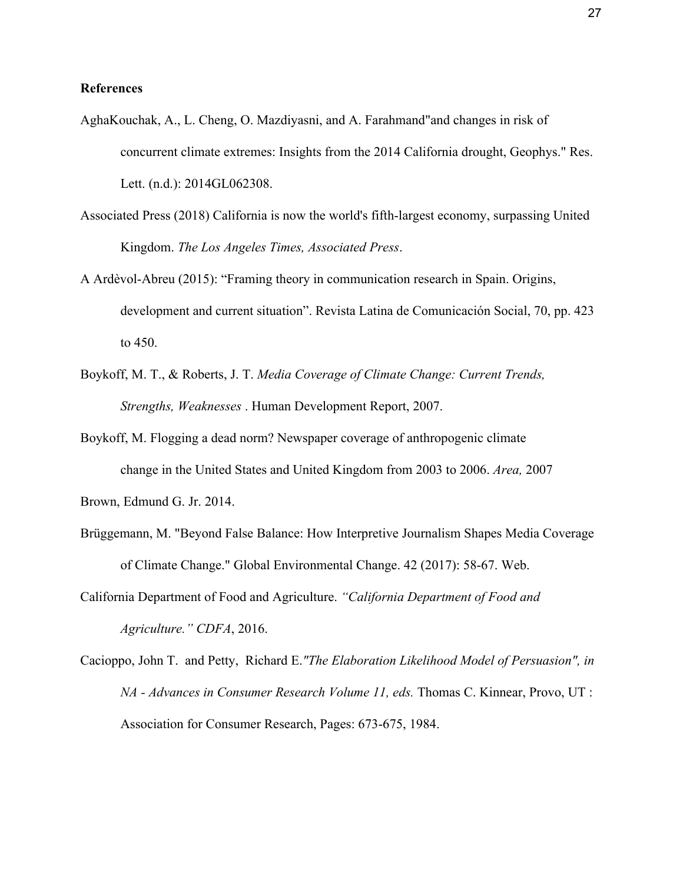#### **References**

- AghaKouchak, A., L. Cheng, O. Mazdiyasni, and A. Farahmand"and changes in risk of concurrent climate extremes: Insights from the 2014 California drought, Geophys." Res. Lett. (n.d.): 2014GL062308.
- Associated Press (2018) California is now the world's fifth-largest economy, surpassing United Kingdom. *The Los Angeles Times, Associated Press*.
- A Ardèvol-Abreu (2015): "Framing theory in communication research in Spain. Origins, development and current situation". Revista Latina de Comunicación Social, 70, pp. 423 to 450.
- Boykoff, M. T., & Roberts, J. T. *Media Coverage of Climate Change: Current Trends, Strengths, Weaknesses* . Human Development Report, 2007.
- Boykoff, M. Flogging a dead norm? Newspaper coverage of anthropogenic climate change in the United States and United Kingdom from 2003 to 2006. *Area,* 2007

Brown, Edmund G. Jr. 2014.

- Brüggemann, M. "Beyond False Balance: How Interpretive Journalism Shapes Media Coverage of Climate Change." Global Environmental Change. 42 (2017): 58-67. Web.
- California Department of Food and Agriculture. *"California Department of Food and Agriculture." CDFA*, 2016.
- Cacioppo, John T. and Petty, Richard E.*"The Elaboration Likelihood Model of Persuasion", in NA - Advances in Consumer Research Volume 11, eds.* Thomas C. Kinnear, Provo, UT : Association for Consumer Research, Pages: 673-675, 1984.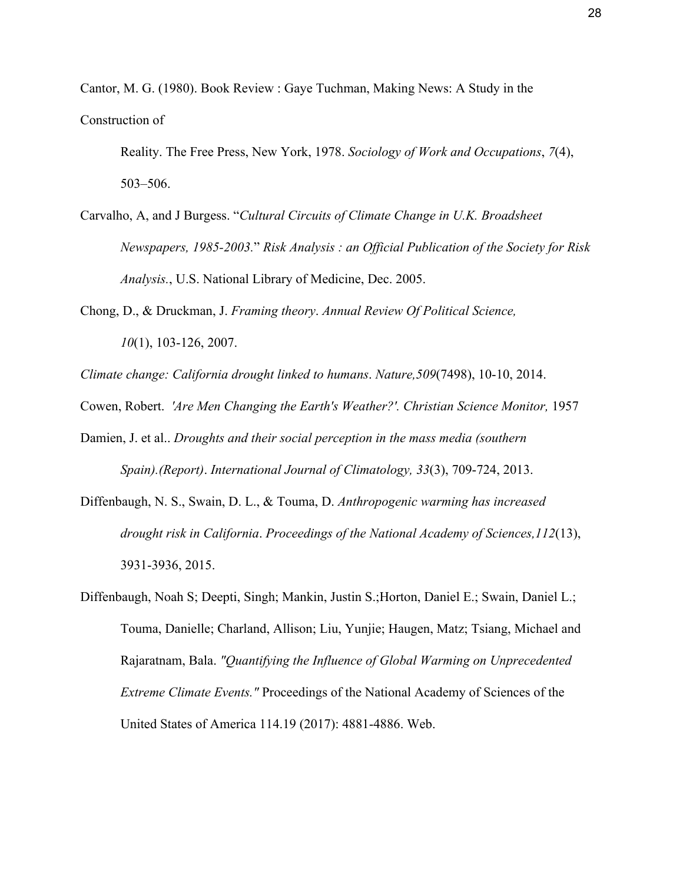Cantor, M. G. (1980). Book Review : Gaye Tuchman, Making News: A Study in the Construction of

Reality. The Free Press, New York, 1978. *Sociology of Work and Occupations*, *7*(4), 503–506.

- Carvalho, A, and J Burgess. "*Cultural Circuits of Climate Change in U.K. Broadsheet Newspapers, 1985-2003.*" *Risk Analysis : an Official Publication of the Society for Risk Analysis.*, U.S. National Library of Medicine, Dec. 2005.
- Chong, D., & Druckman, J. *Framing theory*. *Annual Review Of Political Science, 10*(1), 103-126, 2007.

*Climate change: California drought linked to humans*. *Nature,509*(7498), 10-10, 2014.

Cowen, Robert. 'Are Men Changing the Earth's Weather?'. Christian Science Monitor, 1957

- Damien, J. et al.. *Droughts and their social perception in the mass media (southern Spain).(Report)*. *International Journal of Climatology, 33*(3), 709-724, 2013.
- Diffenbaugh, N. S., Swain, D. L., & Touma, D. *Anthropogenic warming has increased drought risk in California*. *Proceedings of the National Academy of Sciences,112*(13), 3931-3936, 2015.

Diffenbaugh, Noah S; Deepti, Singh; Mankin, Justin S.;Horton, Daniel E.; Swain, Daniel L.; Touma, Danielle; Charland, Allison; Liu, Yunjie; Haugen, Matz; Tsiang, Michael and Rajaratnam, Bala. *"Quantifying the Influence of Global Warming on Unprecedented Extreme Climate Events."* Proceedings of the National Academy of Sciences of the United States of America 114.19 (2017): 4881-4886. Web.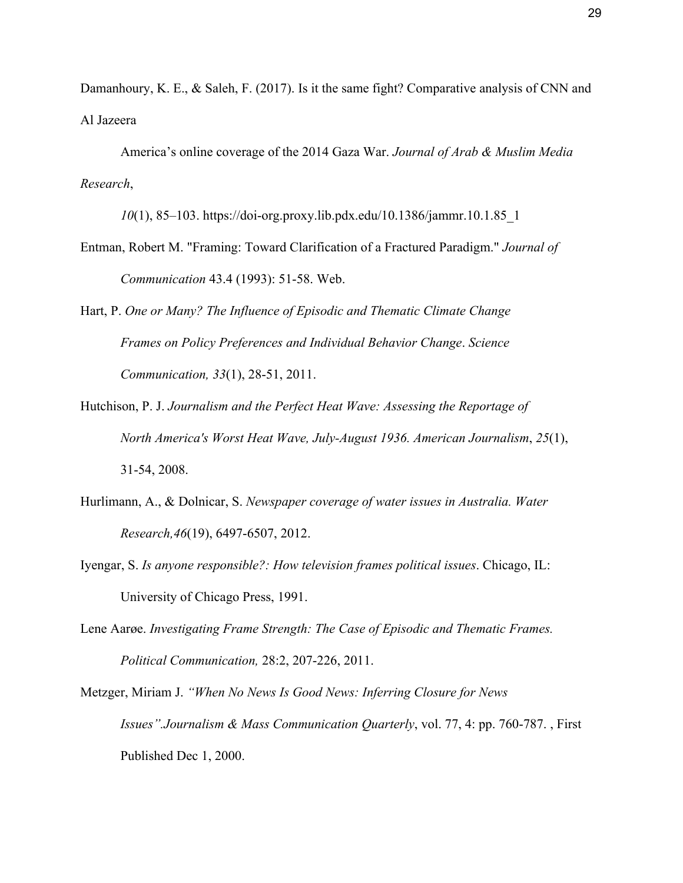Damanhoury, K. E., & Saleh, F. (2017). Is it the same fight? Comparative analysis of CNN and Al Jazeera

America's online coverage of the 2014 Gaza War. *Journal of Arab & Muslim Media Research*,

*10*(1), 85–103. https://doi-org.proxy.lib.pdx.edu/10.1386/jammr.10.1.85\_1

- Entman, Robert M. "Framing: Toward Clarification of a Fractured Paradigm." *Journal of Communication* 43.4 (1993): 51-58. Web.
- Hart, P. *One or Many? The Influence of Episodic and Thematic Climate Change Frames on Policy Preferences and Individual Behavior Change*. *Science Communication, 33*(1), 28-51, 2011.
- Hutchison, P. J. *Journalism and the Perfect Heat Wave: Assessing the Reportage of North America's Worst Heat Wave, July-August 1936. American Journalism*, *25*(1), 31-54, 2008.
- Hurlimann, A., & Dolnicar, S. *Newspaper coverage of water issues in Australia. Water Research,46*(19), 6497-6507, 2012.
- Iyengar, S. *Is anyone responsible?: How television frames political issues*. Chicago, IL: University of Chicago Press, 1991.
- Lene Aarøe. *Investigating Frame Strength: The Case of Episodic and Thematic Frames. Political Communication,* 28:2, 207-226, 2011.
- Metzger, Miriam J. *["When No News Is Good News: Inferring Closure for News](http://journals.sagepub.com/doi/pdf/10.1177/107769900007700404) [Issues](http://journals.sagepub.com/doi/pdf/10.1177/107769900007700404)".Journalism & Mass Communication Quarterly*, vol. 77, 4: pp. 760-787. , First Published Dec 1, 2000.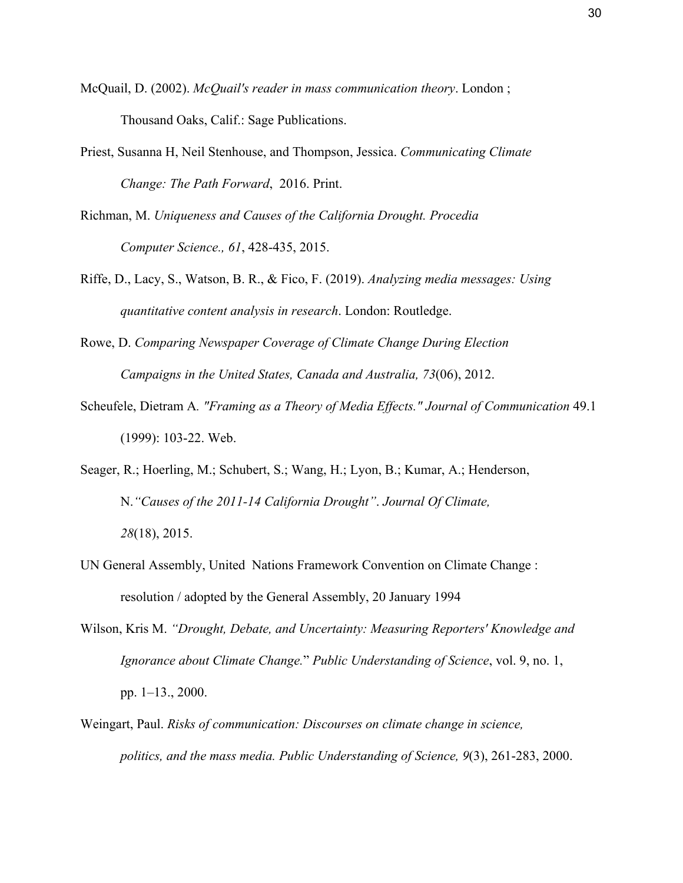- McQuail, D. (2002). *McQuail's reader in mass communication theory*. London ; Thousand Oaks, Calif.: Sage Publications.
- Priest, Susanna H, Neil Stenhouse, and Thompson, Jessica. *Communicating Climate Change: The Path Forward*, 2016. Print.
- Richman, M. *Uniqueness and Causes of the California Drought. Procedia Computer Science., 61*, 428-435, 2015.
- Riffe, D., Lacy, S., Watson, B. R., & Fico, F. (2019). *Analyzing media messages: Using quantitative content analysis in research*. London: Routledge.
- Rowe, D. *Comparing Newspaper Coverage of Climate Change During Election Campaigns in the United States, Canada and Australia, 73*(06), 2012.
- Scheufele, Dietram A*. "Framing as a Theory of Media Effects." Journal of Communication* 49.1 (1999): 103-22. Web.
- Seager, R.; Hoerling, M.; Schubert, S.; Wang, H.; Lyon, B.; Kumar, A.; Henderson, N.*"Causes of the 2011-14 California Drought"*. *Journal Of Climate, 28*(18), 2015.
- UN General Assembly, United Nations Framework Convention on Climate Change : resolution / adopted by the General Assembly, 20 January 1994
- Wilson, Kris M. *"Drought, Debate, and Uncertainty: Measuring Reporters' Knowledge and Ignorance about Climate Change.*" *Public Understanding of Science*, vol. 9, no. 1, pp. 1–13., 2000.
- Weingart, Paul. *Risks of communication: Discourses on climate change in science, politics, and the mass media. Public Understanding of Science, 9*(3), 261-283, 2000.